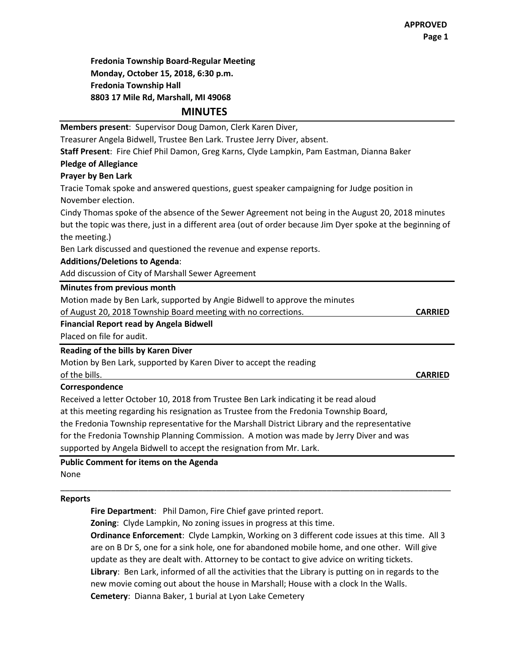**Fredonia Township Board-Regular Meeting Monday, October 15, 2018, 6:30 p.m. Fredonia Township Hall 8803 17 Mile Rd, Marshall, MI 49068**

**MINUTES**

| Members present: Supervisor Doug Damon, Clerk Karen Diver,                                                 |                |
|------------------------------------------------------------------------------------------------------------|----------------|
| Treasurer Angela Bidwell, Trustee Ben Lark. Trustee Jerry Diver, absent.                                   |                |
| Staff Present: Fire Chief Phil Damon, Greg Karns, Clyde Lampkin, Pam Eastman, Dianna Baker                 |                |
| <b>Pledge of Allegiance</b>                                                                                |                |
| <b>Prayer by Ben Lark</b>                                                                                  |                |
| Tracie Tomak spoke and answered questions, guest speaker campaigning for Judge position in                 |                |
| November election.                                                                                         |                |
| Cindy Thomas spoke of the absence of the Sewer Agreement not being in the August 20, 2018 minutes          |                |
| but the topic was there, just in a different area (out of order because Jim Dyer spoke at the beginning of |                |
| the meeting.)                                                                                              |                |
| Ben Lark discussed and questioned the revenue and expense reports.                                         |                |
| <b>Additions/Deletions to Agenda:</b>                                                                      |                |
| Add discussion of City of Marshall Sewer Agreement                                                         |                |
| Minutes from previous month                                                                                |                |
| Motion made by Ben Lark, supported by Angie Bidwell to approve the minutes                                 |                |
| of August 20, 2018 Township Board meeting with no corrections.                                             | <b>CARRIED</b> |
| <b>Financial Report read by Angela Bidwell</b>                                                             |                |
| Placed on file for audit.                                                                                  |                |
| Reading of the bills by Karen Diver                                                                        |                |
| Motion by Ben Lark, supported by Karen Diver to accept the reading                                         |                |
| of the bills.                                                                                              | <b>CARRIED</b> |
| Correspondence                                                                                             |                |
| Received a letter October 10, 2018 from Trustee Ben Lark indicating it be read aloud                       |                |
| at this meeting regarding his resignation as Trustee from the Fredonia Township Board,                     |                |
| the Fredonia Township representative for the Marshall District Library and the representative              |                |
| for the Fredonia Township Planning Commission. A motion was made by Jerry Diver and was                    |                |
| supported by Angela Bidwell to accept the resignation from Mr. Lark.                                       |                |

**Public Comment for items on the Agenda** None

## **Reports**

**Fire Department**: Phil Damon, Fire Chief gave printed report.

**Zoning**: Clyde Lampkin, No zoning issues in progress at this time.

**Ordinance Enforcement**: Clyde Lampkin, Working on 3 different code issues at this time. All 3 are on B Dr S, one for a sink hole, one for abandoned mobile home, and one other. Will give update as they are dealt with. Attorney to be contact to give advice on writing tickets. **Library**: Ben Lark, informed of all the activities that the Library is putting on in regards to the new movie coming out about the house in Marshall; House with a clock In the Walls. **Cemetery**: Dianna Baker, 1 burial at Lyon Lake Cemetery

\_\_\_\_\_\_\_\_\_\_\_\_\_\_\_\_\_\_\_\_\_\_\_\_\_\_\_\_\_\_\_\_\_\_\_\_\_\_\_\_\_\_\_\_\_\_\_\_\_\_\_\_\_\_\_\_\_\_\_\_\_\_\_\_\_\_\_\_\_\_\_\_\_\_\_\_\_\_\_\_\_\_\_\_\_